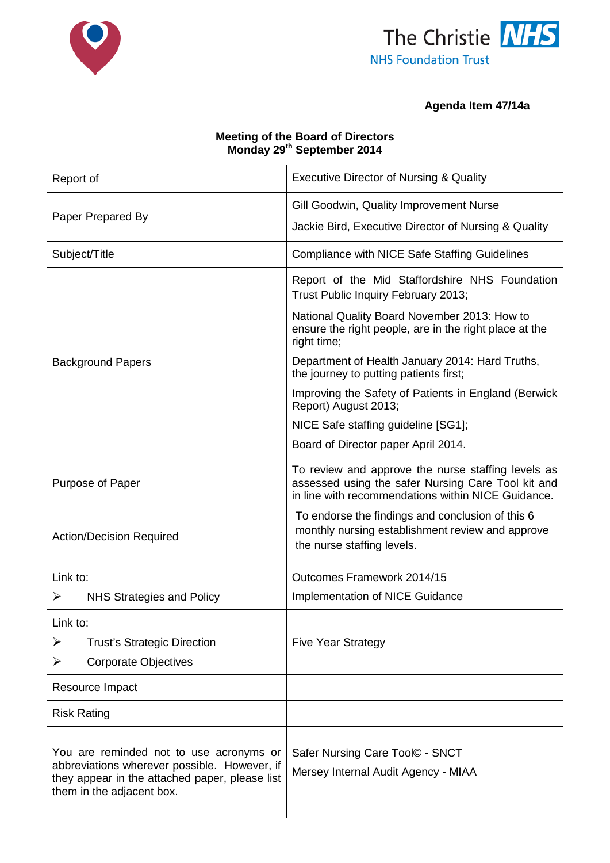



# **Agenda Item 47/14a**

### **Meeting of the Board of Directors Monday 29th September 2014**

| Report of                                                                                                                                                              | <b>Executive Director of Nursing &amp; Quality</b>                                                                                                             |
|------------------------------------------------------------------------------------------------------------------------------------------------------------------------|----------------------------------------------------------------------------------------------------------------------------------------------------------------|
|                                                                                                                                                                        | Gill Goodwin, Quality Improvement Nurse                                                                                                                        |
| Paper Prepared By                                                                                                                                                      | Jackie Bird, Executive Director of Nursing & Quality                                                                                                           |
| Subject/Title                                                                                                                                                          | <b>Compliance with NICE Safe Staffing Guidelines</b>                                                                                                           |
|                                                                                                                                                                        | Report of the Mid Staffordshire NHS Foundation<br>Trust Public Inquiry February 2013;                                                                          |
|                                                                                                                                                                        | National Quality Board November 2013: How to<br>ensure the right people, are in the right place at the<br>right time;                                          |
| <b>Background Papers</b>                                                                                                                                               | Department of Health January 2014: Hard Truths,<br>the journey to putting patients first;                                                                      |
|                                                                                                                                                                        | Improving the Safety of Patients in England (Berwick<br>Report) August 2013;                                                                                   |
|                                                                                                                                                                        | NICE Safe staffing guideline [SG1];                                                                                                                            |
|                                                                                                                                                                        | Board of Director paper April 2014.                                                                                                                            |
| Purpose of Paper                                                                                                                                                       | To review and approve the nurse staffing levels as<br>assessed using the safer Nursing Care Tool kit and<br>in line with recommendations within NICE Guidance. |
| <b>Action/Decision Required</b>                                                                                                                                        | To endorse the findings and conclusion of this 6<br>monthly nursing establishment review and approve<br>the nurse staffing levels.                             |
| Link to:                                                                                                                                                               | Outcomes Framework 2014/15                                                                                                                                     |
| ➤<br><b>NHS Strategies and Policy</b>                                                                                                                                  | Implementation of NICE Guidance                                                                                                                                |
| Link to:                                                                                                                                                               |                                                                                                                                                                |
| <b>Trust's Strategic Direction</b><br>➤                                                                                                                                | <b>Five Year Strategy</b>                                                                                                                                      |
| ➤<br><b>Corporate Objectives</b>                                                                                                                                       |                                                                                                                                                                |
| Resource Impact                                                                                                                                                        |                                                                                                                                                                |
| <b>Risk Rating</b>                                                                                                                                                     |                                                                                                                                                                |
| You are reminded not to use acronyms or<br>abbreviations wherever possible. However, if<br>they appear in the attached paper, please list<br>them in the adjacent box. | Safer Nursing Care Tool© - SNCT<br>Mersey Internal Audit Agency - MIAA                                                                                         |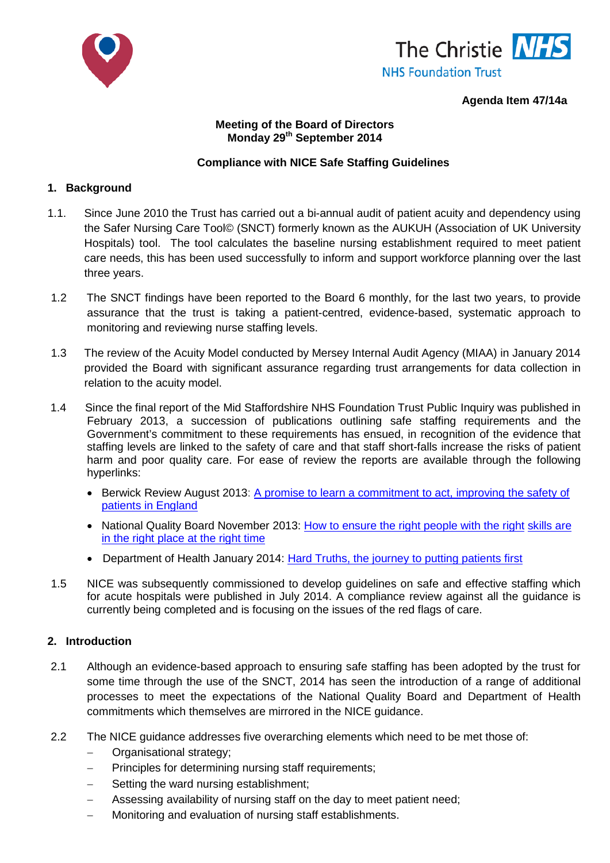



#### **Agenda Item 47/14a**

#### **Meeting of the Board of Directors Monday 29th September 2014**

#### **Compliance with NICE Safe Staffing Guidelines**

#### **1. Background**

- 1.1. Since June 2010 the Trust has carried out a bi-annual audit of patient acuity and dependency using the Safer Nursing Care Tool© (SNCT) formerly known as the AUKUH (Association of UK University Hospitals) tool. The tool calculates the baseline nursing establishment required to meet patient care needs, this has been used successfully to inform and support workforce planning over the last three years.
- 1.2 The SNCT findings have been reported to the Board 6 monthly, for the last two years, to provide assurance that the trust is taking a patient-centred, evidence-based, systematic approach to monitoring and reviewing nurse staffing levels.
- 1.3 The review of the Acuity Model conducted by Mersey Internal Audit Agency (MIAA) in January 2014 provided the Board with significant assurance regarding trust arrangements for data collection in relation to the acuity model.
- 1.4 Since the final report of the Mid Staffordshire NHS Foundation Trust Public Inquiry was published in February 2013, a succession of publications outlining safe staffing requirements and the Government's commitment to these requirements has ensued, in recognition of the evidence that staffing levels are linked to the safety of care and that staff short-falls increase the risks of patient harm and poor quality care. For ease of review the reports are available through the following hyperlinks:
	- Berwick Review August 2013: [A promise to learn a commitment to act, improving the](https://www.gov.uk/government/publications/berwick-review-into-patient-safety) safety of [patients in England](https://www.gov.uk/government/publications/berwick-review-into-patient-safety)
	- National Quality Board November 2013: [How to ensure the right people with the right](http://www.england.nhs.uk/wp-content/uploads/2013/11/nqb-how-to-guid.pdf) skills are in [the right place at the right time](http://www.england.nhs.uk/wp-content/uploads/2013/11/nqb-how-to-guid.pdf)
	- Department of Health January 2014: [Hard Truths, the journey to putting patients first](https://www.gov.uk/government/uploads/system/uploads/attachment_data/file/270368/34658_Cm_8777_Vol_1_accessible.pdf)
- 1.5 NICE was subsequently commissioned to develop guidelines on safe and effective staffing which for acute hospitals were published in July 2014. A compliance review against all the guidance is currently being completed and is focusing on the issues of the red flags of care.

#### **2. Introduction**

- 2.1 Although an evidence-based approach to ensuring safe staffing has been adopted by the trust for some time through the use of the SNCT, 2014 has seen the introduction of a range of additional processes to meet the expectations of the National Quality Board and Department of Health commitments which themselves are mirrored in the NICE guidance.
- 2.2 The NICE guidance addresses five overarching elements which need to be met those of:
	- − Organisational strategy;
	- Principles for determining nursing staff requirements;
	- Setting the ward nursing establishment;
	- Assessing availability of nursing staff on the day to meet patient need;
	- Monitoring and evaluation of nursing staff establishments.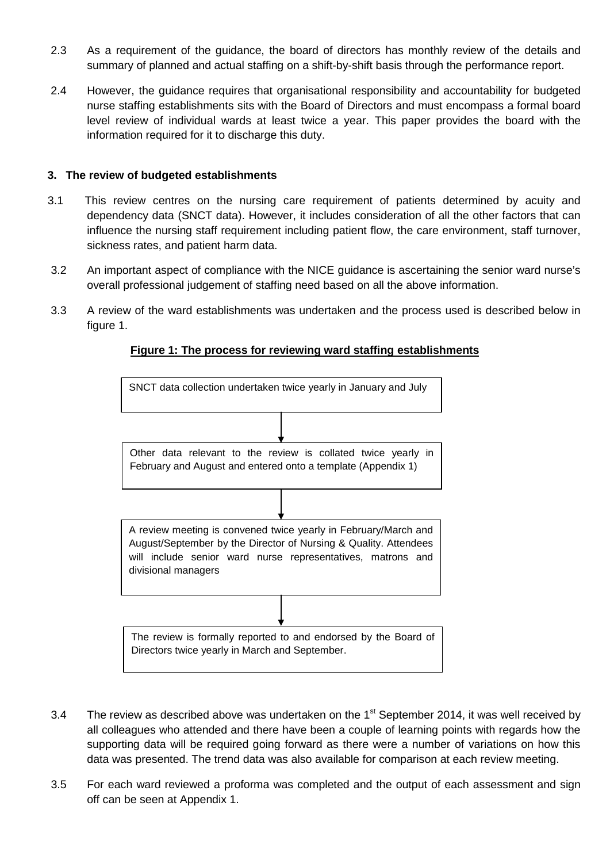- 2.3 As a requirement of the guidance, the board of directors has monthly review of the details and summary of planned and actual staffing on a shift-by-shift basis through the performance report.
- 2.4 However, the guidance requires that organisational responsibility and accountability for budgeted nurse staffing establishments sits with the Board of Directors and must encompass a formal board level review of individual wards at least twice a year. This paper provides the board with the information required for it to discharge this duty.

#### **3. The review of budgeted establishments**

- 3.1 This review centres on the nursing care requirement of patients determined by acuity and dependency data (SNCT data). However, it includes consideration of all the other factors that can influence the nursing staff requirement including patient flow, the care environment, staff turnover, sickness rates, and patient harm data.
- 3.2 An important aspect of compliance with the NICE guidance is ascertaining the senior ward nurse's overall professional judgement of staffing need based on all the above information.
- 3.3 A review of the ward establishments was undertaken and the process used is described below in figure 1.



### **Figure 1: The process for reviewing ward staffing establishments**

- 3.4 The review as described above was undertaken on the  $1<sup>st</sup>$  September 2014, it was well received by all colleagues who attended and there have been a couple of learning points with regards how the supporting data will be required going forward as there were a number of variations on how this data was presented. The trend data was also available for comparison at each review meeting.
- 3.5 For each ward reviewed a proforma was completed and the output of each assessment and sign off can be seen at Appendix 1.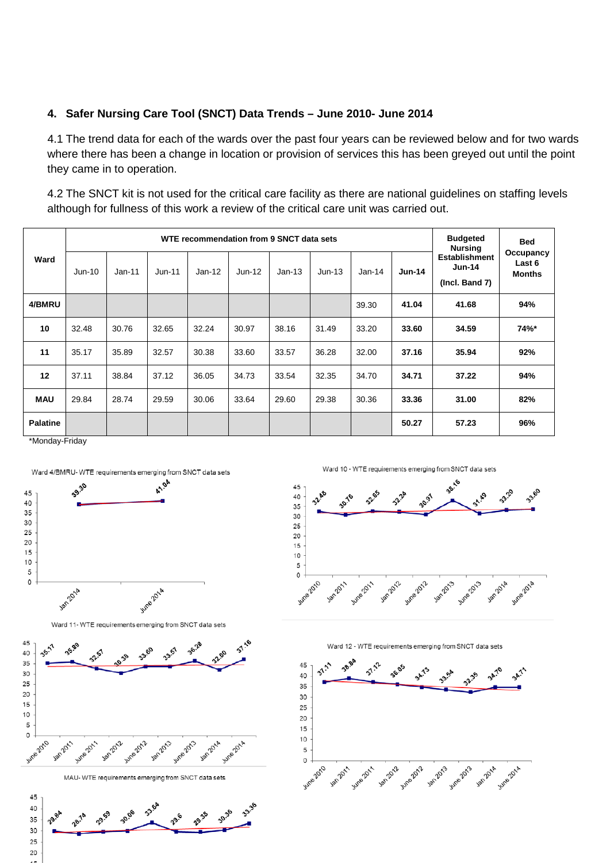### **4. Safer Nursing Care Tool (SNCT) Data Trends – June 2010- June 2014**

4.1 The trend data for each of the wards over the past four years can be reviewed below and for two wards where there has been a change in location or provision of services this has been greyed out until the point they came in to operation.

4.2 The SNCT kit is not used for the critical care facility as there are national guidelines on staffing levels although for fullness of this work a review of the critical care unit was carried out.

|                 |          |          |          | WTE recommendation from 9 SNCT data sets |          |          |          |          |               | <b>Budgeted</b><br><b>Nursing</b>                  | <b>Bed</b>                           |
|-----------------|----------|----------|----------|------------------------------------------|----------|----------|----------|----------|---------------|----------------------------------------------------|--------------------------------------|
| Ward            | $Jun-10$ | $Jan-11$ | $Jun-11$ | $Jan-12$                                 | $Jun-12$ | $Jan-13$ | $Jun-13$ | $Jan-14$ | <b>Jun-14</b> | <b>Establishment</b><br>$Jun-14$<br>(Incl. Band 7) | Occupancy<br>Last 6<br><b>Months</b> |
| 4/BMRU          |          |          |          |                                          |          |          |          | 39.30    | 41.04         | 41.68                                              | 94%                                  |
| 10              | 32.48    | 30.76    | 32.65    | 32.24                                    | 30.97    | 38.16    | 31.49    | 33.20    | 33.60         | 34.59                                              | 74%*                                 |
| 11              | 35.17    | 35.89    | 32.57    | 30.38                                    | 33.60    | 33.57    | 36.28    | 32.00    | 37.16         | 35.94                                              | 92%                                  |
| 12              | 37.11    | 38.84    | 37.12    | 36.05                                    | 34.73    | 33.54    | 32.35    | 34.70    | 34.71         | 37.22                                              | 94%                                  |
| <b>MAU</b>      | 29.84    | 28.74    | 29.59    | 30.06                                    | 33.64    | 29.60    | 29.38    | 30.36    | 33.36         | 31.00                                              | 82%                                  |
| <b>Palatine</b> |          |          |          |                                          |          |          |          |          | 50.27         | 57.23                                              | 96%                                  |

\*Monday-Friday





Ward 11- WTE requirements emerging from SNCT data sets



MAU- WTE requirements emerging from SNCT data sets



Ward 10 - WTE requirements emerging from SNCT data sets





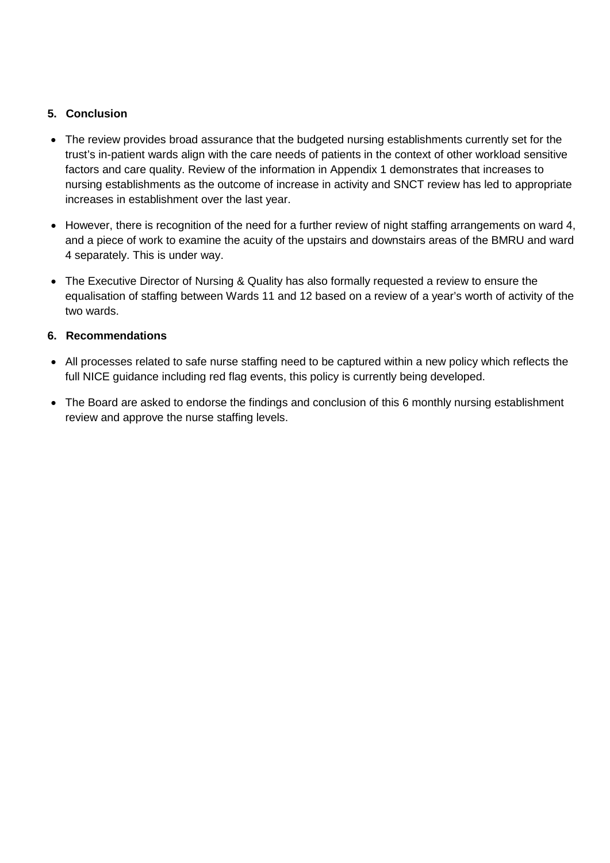## **5. Conclusion**

- The review provides broad assurance that the budgeted nursing establishments currently set for the trust's in-patient wards align with the care needs of patients in the context of other workload sensitive factors and care quality. Review of the information in Appendix 1 demonstrates that increases to nursing establishments as the outcome of increase in activity and SNCT review has led to appropriate increases in establishment over the last year.
- However, there is recognition of the need for a further review of night staffing arrangements on ward 4, and a piece of work to examine the acuity of the upstairs and downstairs areas of the BMRU and ward 4 separately. This is under way.
- The Executive Director of Nursing & Quality has also formally requested a review to ensure the equalisation of staffing between Wards 11 and 12 based on a review of a year's worth of activity of the two wards.

# **6. Recommendations**

- All processes related to safe nurse staffing need to be captured within a new policy which reflects the full NICE guidance including red flag events, this policy is currently being developed.
- The Board are asked to endorse the findings and conclusion of this 6 monthly nursing establishment review and approve the nurse staffing levels.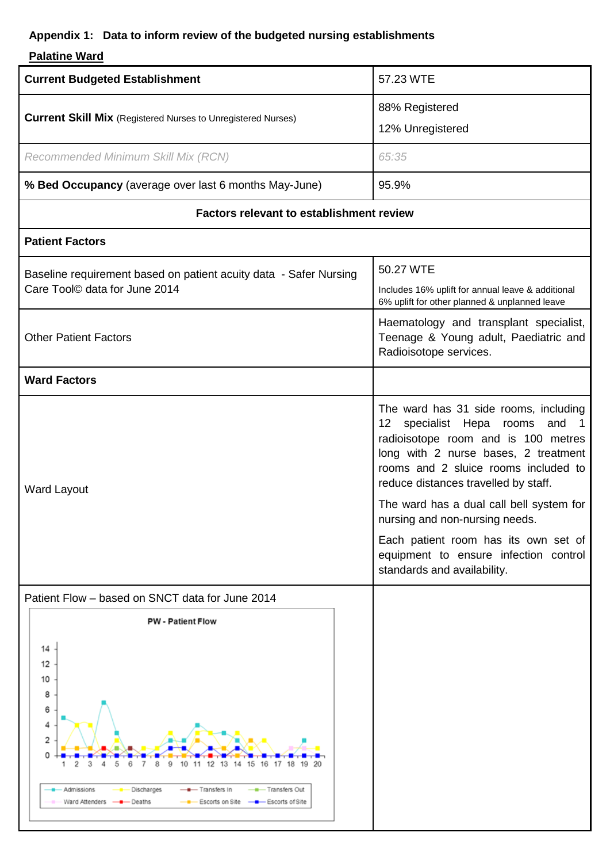# **Appendix 1: Data to inform review of the budgeted nursing establishments**

# **Palatine Ward**

| <b>Current Budgeted Establishment</b>                                                                                                                                                                            | 57.23 WTE                                                                                                                                                                                                                                                                                                                                                                                                                            |
|------------------------------------------------------------------------------------------------------------------------------------------------------------------------------------------------------------------|--------------------------------------------------------------------------------------------------------------------------------------------------------------------------------------------------------------------------------------------------------------------------------------------------------------------------------------------------------------------------------------------------------------------------------------|
| <b>Current Skill Mix</b> (Registered Nurses to Unregistered Nurses)                                                                                                                                              | 88% Registered<br>12% Unregistered                                                                                                                                                                                                                                                                                                                                                                                                   |
| Recommended Minimum Skill Mix (RCN)                                                                                                                                                                              | 65:35                                                                                                                                                                                                                                                                                                                                                                                                                                |
| % Bed Occupancy (average over last 6 months May-June)                                                                                                                                                            | 95.9%                                                                                                                                                                                                                                                                                                                                                                                                                                |
| <b>Factors relevant to establishment review</b>                                                                                                                                                                  |                                                                                                                                                                                                                                                                                                                                                                                                                                      |
| <b>Patient Factors</b>                                                                                                                                                                                           |                                                                                                                                                                                                                                                                                                                                                                                                                                      |
| Baseline requirement based on patient acuity data - Safer Nursing<br>Care Tool© data for June 2014                                                                                                               | 50.27 WTE<br>Includes 16% uplift for annual leave & additional<br>6% uplift for other planned & unplanned leave                                                                                                                                                                                                                                                                                                                      |
| <b>Other Patient Factors</b>                                                                                                                                                                                     | Haematology and transplant specialist,<br>Teenage & Young adult, Paediatric and<br>Radioisotope services.                                                                                                                                                                                                                                                                                                                            |
| <b>Ward Factors</b>                                                                                                                                                                                              |                                                                                                                                                                                                                                                                                                                                                                                                                                      |
| <b>Ward Layout</b>                                                                                                                                                                                               | The ward has 31 side rooms, including<br>12 specialist Hepa rooms and 1<br>radioisotope room and is 100 metres<br>long with 2 nurse bases, 2 treatment<br>rooms and 2 sluice rooms included to<br>reduce distances travelled by staff.<br>The ward has a dual call bell system for<br>nursing and non-nursing needs.<br>Each patient room has its own set of<br>equipment to ensure infection control<br>standards and availability. |
| Patient Flow - based on SNCT data for June 2014                                                                                                                                                                  |                                                                                                                                                                                                                                                                                                                                                                                                                                      |
| <b>PW - Patient Flow</b><br>14<br>12<br>10<br>8<br>6<br>4<br>2<br>13<br>15<br>Transfers Out<br>Admissions<br>Discharges<br>– Transfers In<br>Ward Attenders<br>— Deaths<br>Escorts on Site<br>—— Escorts of Site |                                                                                                                                                                                                                                                                                                                                                                                                                                      |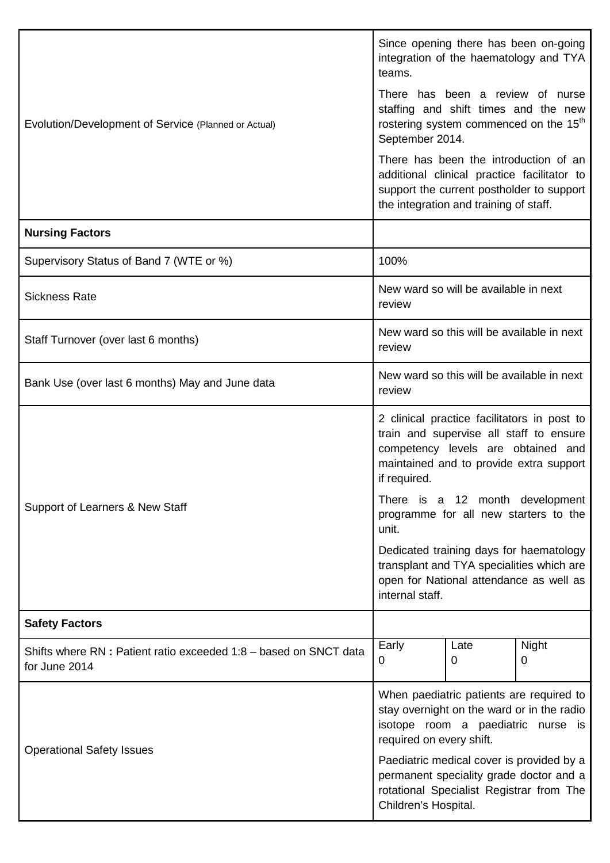|                                                                                   | Since opening there has been on-going<br>integration of the haematology and TYA<br>teams.                                                                                               |                                            |            |  |  |  |
|-----------------------------------------------------------------------------------|-----------------------------------------------------------------------------------------------------------------------------------------------------------------------------------------|--------------------------------------------|------------|--|--|--|
| Evolution/Development of Service (Planned or Actual)                              | There has been a review of nurse<br>staffing and shift times and the new<br>rostering system commenced on the 15 <sup>th</sup><br>September 2014.                                       |                                            |            |  |  |  |
|                                                                                   | There has been the introduction of an<br>additional clinical practice facilitator to<br>support the current postholder to support<br>the integration and training of staff.             |                                            |            |  |  |  |
| <b>Nursing Factors</b>                                                            |                                                                                                                                                                                         |                                            |            |  |  |  |
| Supervisory Status of Band 7 (WTE or %)                                           | 100%                                                                                                                                                                                    |                                            |            |  |  |  |
| <b>Sickness Rate</b>                                                              | review                                                                                                                                                                                  | New ward so will be available in next      |            |  |  |  |
| Staff Turnover (over last 6 months)                                               | review                                                                                                                                                                                  | New ward so this will be available in next |            |  |  |  |
| Bank Use (over last 6 months) May and June data                                   | New ward so this will be available in next<br>review                                                                                                                                    |                                            |            |  |  |  |
|                                                                                   | 2 clinical practice facilitators in post to<br>train and supervise all staff to ensure<br>competency levels are obtained and<br>maintained and to provide extra support<br>if required. |                                            |            |  |  |  |
| Support of Learners & New Staff                                                   | There is a 12 month development<br>programme for all new starters to the<br>unit.                                                                                                       |                                            |            |  |  |  |
|                                                                                   | Dedicated training days for haematology<br>transplant and TYA specialities which are<br>open for National attendance as well as<br>internal staff.                                      |                                            |            |  |  |  |
| <b>Safety Factors</b>                                                             |                                                                                                                                                                                         |                                            |            |  |  |  |
| Shifts where RN: Patient ratio exceeded 1:8 - based on SNCT data<br>for June 2014 | Early<br>0                                                                                                                                                                              | Late<br>0                                  | Night<br>0 |  |  |  |
| <b>Operational Safety Issues</b>                                                  | When paediatric patients are required to<br>stay overnight on the ward or in the radio<br>isotope room a paediatric nurse is<br>required on every shift.                                |                                            |            |  |  |  |
|                                                                                   | Paediatric medical cover is provided by a<br>permanent speciality grade doctor and a<br>rotational Specialist Registrar from The<br>Children's Hospital.                                |                                            |            |  |  |  |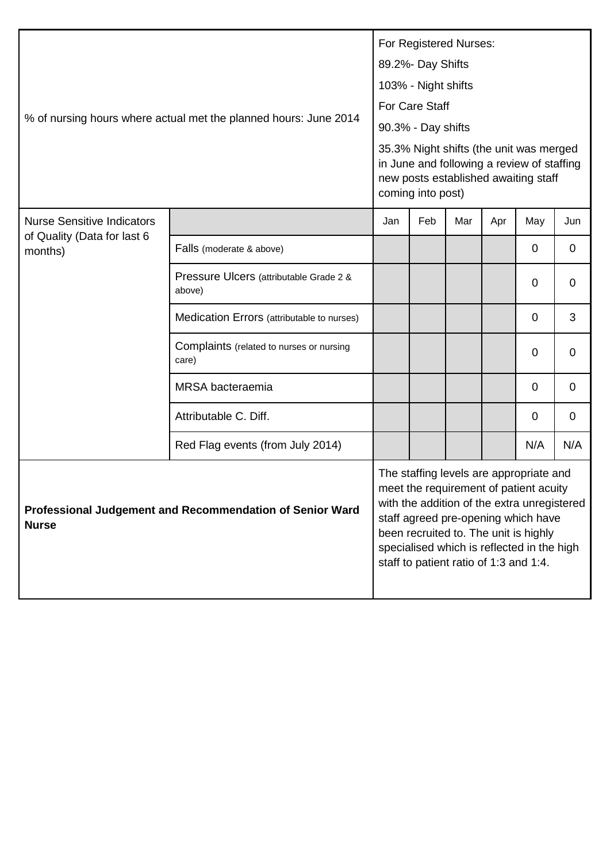| % of nursing hours where actual met the planned hours: June 2014         |                                                   |     | For Registered Nurses:<br>89.2%- Day Shifts<br>103% - Night shifts<br>For Care Staff<br>90.3% - Day shifts<br>35.3% Night shifts (the unit was merged<br>in June and following a review of staffing<br>new posts established awaiting staff<br>coming into post) |                                        |     |                                                                                                                                                                                                                                                                |             |
|--------------------------------------------------------------------------|---------------------------------------------------|-----|------------------------------------------------------------------------------------------------------------------------------------------------------------------------------------------------------------------------------------------------------------------|----------------------------------------|-----|----------------------------------------------------------------------------------------------------------------------------------------------------------------------------------------------------------------------------------------------------------------|-------------|
| <b>Nurse Sensitive Indicators</b><br>of Quality (Data for last 6         |                                                   | Jan | Feb                                                                                                                                                                                                                                                              | Mar                                    | Apr | May                                                                                                                                                                                                                                                            | Jun         |
| months)                                                                  | Falls (moderate & above)                          |     |                                                                                                                                                                                                                                                                  |                                        |     | $\mathbf 0$                                                                                                                                                                                                                                                    | $\mathbf 0$ |
|                                                                          | Pressure Ulcers (attributable Grade 2 &<br>above) |     |                                                                                                                                                                                                                                                                  |                                        |     | $\mathbf 0$                                                                                                                                                                                                                                                    | 0           |
|                                                                          | Medication Errors (attributable to nurses)        |     |                                                                                                                                                                                                                                                                  |                                        |     | $\mathbf 0$                                                                                                                                                                                                                                                    | 3           |
|                                                                          | Complaints (related to nurses or nursing<br>care) |     |                                                                                                                                                                                                                                                                  |                                        |     | 0                                                                                                                                                                                                                                                              | 0           |
|                                                                          | <b>MRSA</b> bacteraemia                           |     |                                                                                                                                                                                                                                                                  |                                        |     | $\mathbf 0$                                                                                                                                                                                                                                                    | 0           |
|                                                                          | Attributable C. Diff.                             |     |                                                                                                                                                                                                                                                                  |                                        |     | $\mathbf 0$                                                                                                                                                                                                                                                    | 0           |
|                                                                          | Red Flag events (from July 2014)                  |     |                                                                                                                                                                                                                                                                  |                                        |     | N/A                                                                                                                                                                                                                                                            | N/A         |
| Professional Judgement and Recommendation of Senior Ward<br><b>Nurse</b> |                                                   |     |                                                                                                                                                                                                                                                                  | staff to patient ratio of 1:3 and 1:4. |     | The staffing levels are appropriate and<br>meet the requirement of patient acuity<br>with the addition of the extra unregistered<br>staff agreed pre-opening which have<br>been recruited to. The unit is highly<br>specialised which is reflected in the high |             |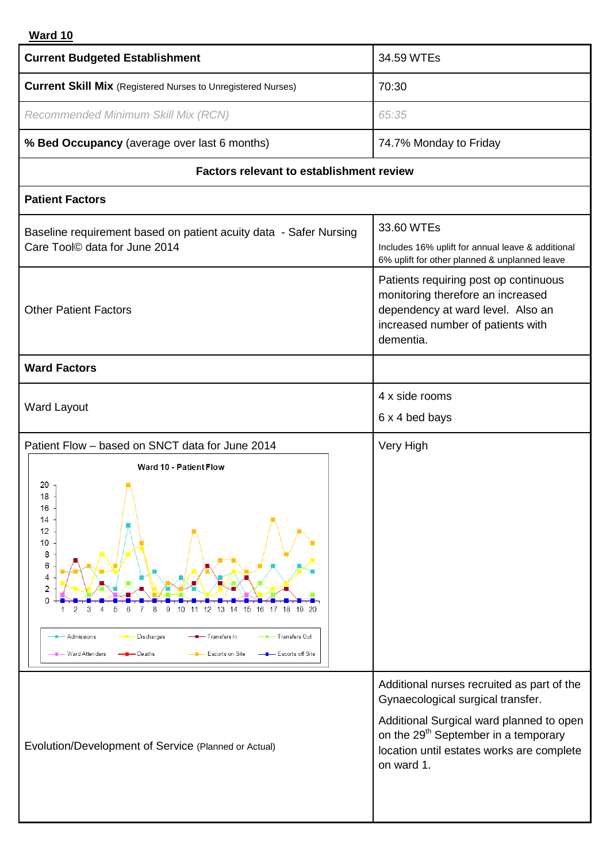# **Ward 10**

| <b>Current Budgeted Establishment</b>                                                                                                                                                                                                                                                                             | 34.59 WTEs                                                                                                                                                                                                                                 |
|-------------------------------------------------------------------------------------------------------------------------------------------------------------------------------------------------------------------------------------------------------------------------------------------------------------------|--------------------------------------------------------------------------------------------------------------------------------------------------------------------------------------------------------------------------------------------|
| <b>Current Skill Mix</b> (Registered Nurses to Unregistered Nurses)                                                                                                                                                                                                                                               | 70:30                                                                                                                                                                                                                                      |
| Recommended Minimum Skill Mix (RCN)                                                                                                                                                                                                                                                                               | 65:35                                                                                                                                                                                                                                      |
| % Bed Occupancy (average over last 6 months)                                                                                                                                                                                                                                                                      | 74.7% Monday to Friday                                                                                                                                                                                                                     |
| <b>Factors relevant to establishment review</b>                                                                                                                                                                                                                                                                   |                                                                                                                                                                                                                                            |
| <b>Patient Factors</b>                                                                                                                                                                                                                                                                                            |                                                                                                                                                                                                                                            |
| Baseline requirement based on patient acuity data - Safer Nursing<br>Care Tool <sup>©</sup> data for June 2014                                                                                                                                                                                                    | 33.60 WTEs<br>Includes 16% uplift for annual leave & additional<br>6% uplift for other planned & unplanned leave                                                                                                                           |
| <b>Other Patient Factors</b>                                                                                                                                                                                                                                                                                      | Patients requiring post op continuous<br>monitoring therefore an increased<br>dependency at ward level. Also an<br>increased number of patients with<br>dementia.                                                                          |
| <b>Ward Factors</b>                                                                                                                                                                                                                                                                                               |                                                                                                                                                                                                                                            |
| <b>Ward Layout</b>                                                                                                                                                                                                                                                                                                | 4 x side rooms                                                                                                                                                                                                                             |
|                                                                                                                                                                                                                                                                                                                   | 6 x 4 bed bays                                                                                                                                                                                                                             |
| Patient Flow - based on SNCT data for June 2014                                                                                                                                                                                                                                                                   | Very High                                                                                                                                                                                                                                  |
| Ward 10 - Patient Flow<br>20<br>18<br>16<br>14<br>12<br>10<br>8<br>6<br>4<br>$\overline{2}$<br>0<br>12 13 14 15 16 17 18<br>19 20<br>9<br>8<br>10<br>11<br>З<br>5<br>- Transfers Out<br><b>Admissions</b><br>Discharges<br>- Transfers In<br>Escorts on Site<br>- Ward Atten ders<br>- Escorts off Site<br>Deaths |                                                                                                                                                                                                                                            |
| Evolution/Development of Service (Planned or Actual)                                                                                                                                                                                                                                                              | Additional nurses recruited as part of the<br>Gynaecological surgical transfer.<br>Additional Surgical ward planned to open<br>on the 29 <sup>th</sup> September in a temporary<br>location until estates works are complete<br>on ward 1. |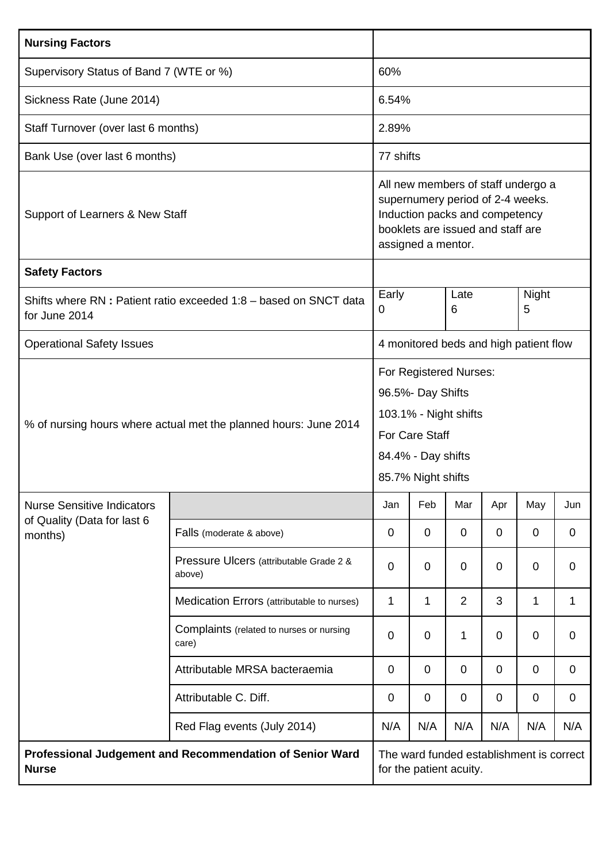| <b>Nursing Factors</b>                                                            |                                                          |                |                                                                                                                                                                     |                |             |                                          |             |  |
|-----------------------------------------------------------------------------------|----------------------------------------------------------|----------------|---------------------------------------------------------------------------------------------------------------------------------------------------------------------|----------------|-------------|------------------------------------------|-------------|--|
| Supervisory Status of Band 7 (WTE or %)                                           |                                                          | 60%            |                                                                                                                                                                     |                |             |                                          |             |  |
| Sickness Rate (June 2014)                                                         |                                                          | 6.54%          |                                                                                                                                                                     |                |             |                                          |             |  |
| Staff Turnover (over last 6 months)                                               |                                                          | 2.89%          |                                                                                                                                                                     |                |             |                                          |             |  |
| Bank Use (over last 6 months)                                                     |                                                          | 77 shifts      |                                                                                                                                                                     |                |             |                                          |             |  |
| Support of Learners & New Staff                                                   |                                                          |                | All new members of staff undergo a<br>supernumery period of 2-4 weeks.<br>Induction packs and competency<br>booklets are issued and staff are<br>assigned a mentor. |                |             |                                          |             |  |
| <b>Safety Factors</b>                                                             |                                                          |                |                                                                                                                                                                     |                |             |                                          |             |  |
| Shifts where RN: Patient ratio exceeded 1:8 - based on SNCT data<br>for June 2014 |                                                          |                |                                                                                                                                                                     | Late<br>6      |             | Night<br>5                               |             |  |
| <b>Operational Safety Issues</b>                                                  |                                                          |                | 4 monitored beds and high patient flow                                                                                                                              |                |             |                                          |             |  |
| % of nursing hours where actual met the planned hours: June 2014                  |                                                          |                | For Registered Nurses:<br>96.5%- Day Shifts<br>103.1% - Night shifts<br><b>For Care Staff</b><br>84.4% - Day shifts<br>85.7% Night shifts                           |                |             |                                          |             |  |
| <b>Nurse Sensitive Indicators</b>                                                 |                                                          | Jan            | Feb                                                                                                                                                                 | Mar            | Apr         | May                                      | Jun         |  |
| of Quality (Data for last 6<br>months)                                            | Falls (moderate & above)                                 | 0              | $\mathbf 0$                                                                                                                                                         | $\mathbf 0$    | $\mathbf 0$ | $\overline{0}$                           | 0           |  |
|                                                                                   | Pressure Ulcers (attributable Grade 2 &<br>above)        | $\overline{0}$ | $\overline{0}$                                                                                                                                                      | 0              | 0           | $\overline{0}$                           | 0           |  |
|                                                                                   | Medication Errors (attributable to nurses)               | 1              | 1                                                                                                                                                                   | $\overline{2}$ | 3           | 1                                        | 1           |  |
|                                                                                   | Complaints (related to nurses or nursing<br>care)        | $\overline{0}$ | $\mathbf 0$                                                                                                                                                         | 1              | $\mathbf 0$ | $\overline{0}$                           | $\mathbf 0$ |  |
|                                                                                   | Attributable MRSA bacteraemia                            | $\mathbf 0$    | 0                                                                                                                                                                   | $\mathbf 0$    | $\mathbf 0$ | $\mathbf 0$                              | 0           |  |
|                                                                                   | Attributable C. Diff.                                    | $\mathbf 0$    | $\mathbf 0$                                                                                                                                                         | $\mathbf 0$    | $\mathbf 0$ | $\overline{0}$                           | $\mathbf 0$ |  |
|                                                                                   | Red Flag events (July 2014)                              | N/A            | N/A                                                                                                                                                                 | N/A            | N/A         | N/A                                      | N/A         |  |
| <b>Nurse</b>                                                                      | Professional Judgement and Recommendation of Senior Ward |                | for the patient acuity.                                                                                                                                             |                |             | The ward funded establishment is correct |             |  |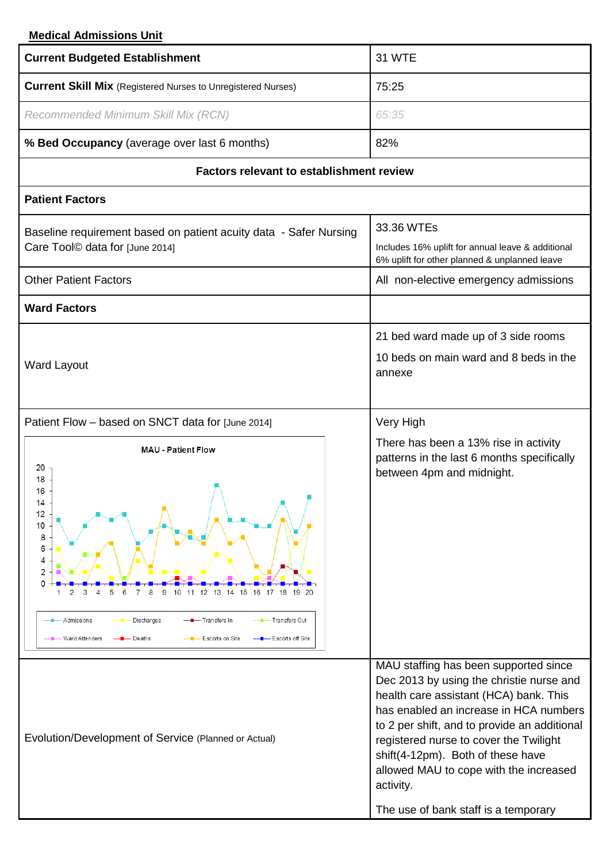# **Medical Admissions Unit**

| <b>Current Budgeted Establishment</b>                                                                                                                                                                                                                                                                                   | <b>31 WTE</b>                                                                                                                                                                                                                                                                                                                                                                                       |
|-------------------------------------------------------------------------------------------------------------------------------------------------------------------------------------------------------------------------------------------------------------------------------------------------------------------------|-----------------------------------------------------------------------------------------------------------------------------------------------------------------------------------------------------------------------------------------------------------------------------------------------------------------------------------------------------------------------------------------------------|
| <b>Current Skill Mix</b> (Registered Nurses to Unregistered Nurses)                                                                                                                                                                                                                                                     | 75:25                                                                                                                                                                                                                                                                                                                                                                                               |
| Recommended Minimum Skill Mix (RCN)                                                                                                                                                                                                                                                                                     | 65:35                                                                                                                                                                                                                                                                                                                                                                                               |
| % Bed Occupancy (average over last 6 months)                                                                                                                                                                                                                                                                            | 82%                                                                                                                                                                                                                                                                                                                                                                                                 |
| <b>Factors relevant to establishment review</b>                                                                                                                                                                                                                                                                         |                                                                                                                                                                                                                                                                                                                                                                                                     |
| <b>Patient Factors</b>                                                                                                                                                                                                                                                                                                  |                                                                                                                                                                                                                                                                                                                                                                                                     |
| Baseline requirement based on patient acuity data - Safer Nursing<br>Care Tool© data for [June 2014]                                                                                                                                                                                                                    | 33.36 WTEs<br>Includes 16% uplift for annual leave & additional<br>6% uplift for other planned & unplanned leave                                                                                                                                                                                                                                                                                    |
| <b>Other Patient Factors</b>                                                                                                                                                                                                                                                                                            | All non-elective emergency admissions                                                                                                                                                                                                                                                                                                                                                               |
| <b>Ward Factors</b>                                                                                                                                                                                                                                                                                                     |                                                                                                                                                                                                                                                                                                                                                                                                     |
| <b>Ward Layout</b>                                                                                                                                                                                                                                                                                                      | 21 bed ward made up of 3 side rooms<br>10 beds on main ward and 8 beds in the<br>annexe                                                                                                                                                                                                                                                                                                             |
| Patient Flow - based on SNCT data for [June 2014]                                                                                                                                                                                                                                                                       | Very High                                                                                                                                                                                                                                                                                                                                                                                           |
| <b>MAU - Patient Flow</b><br>20<br>18<br>16<br>14<br>12<br>10<br>8<br>6<br>4<br>$\overline{2}$<br>15 16 17 18 19 20<br>9<br>12<br>-13<br>14<br>2<br>З<br>5<br>10<br>11<br>-- Transfers Out<br>Admissions<br><b>-</b> Transfers In<br>Discharges<br>- Escorts on Site<br>- Escorts off Site<br>Ward Atten ders<br>Deaths | There has been a 13% rise in activity<br>patterns in the last 6 months specifically<br>between 4pm and midnight.                                                                                                                                                                                                                                                                                    |
| Evolution/Development of Service (Planned or Actual)                                                                                                                                                                                                                                                                    | MAU staffing has been supported since<br>Dec 2013 by using the christie nurse and<br>health care assistant (HCA) bank. This<br>has enabled an increase in HCA numbers<br>to 2 per shift, and to provide an additional<br>registered nurse to cover the Twilight<br>shift(4-12pm). Both of these have<br>allowed MAU to cope with the increased<br>activity.<br>The use of bank staff is a temporary |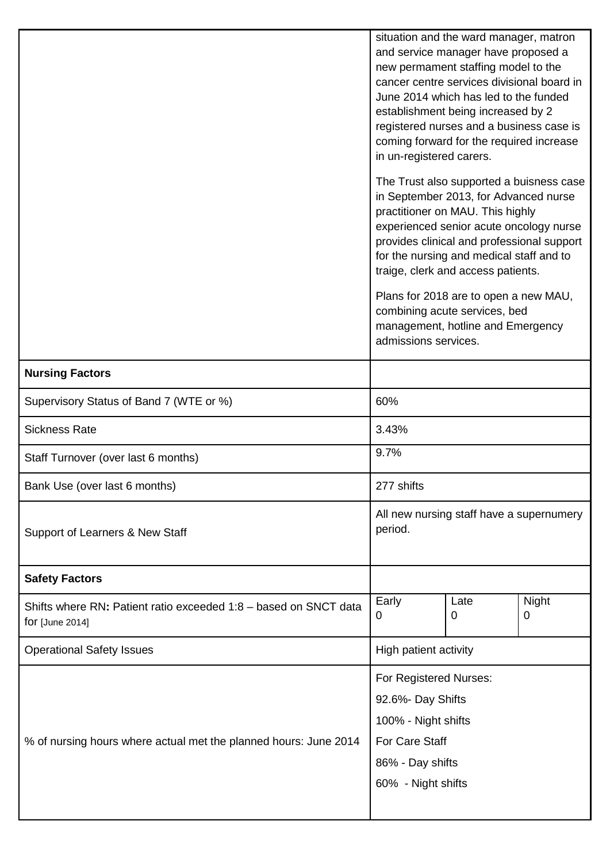|                                                                  |                                                                                                                           | situation and the ward manager, matron                                                 |              |  |  |  |
|------------------------------------------------------------------|---------------------------------------------------------------------------------------------------------------------------|----------------------------------------------------------------------------------------|--------------|--|--|--|
|                                                                  | and service manager have proposed a<br>new permament staffing model to the                                                |                                                                                        |              |  |  |  |
|                                                                  | cancer centre services divisional board in<br>June 2014 which has led to the funded<br>establishment being increased by 2 |                                                                                        |              |  |  |  |
|                                                                  |                                                                                                                           |                                                                                        |              |  |  |  |
|                                                                  |                                                                                                                           |                                                                                        |              |  |  |  |
|                                                                  | registered nurses and a business case is                                                                                  |                                                                                        |              |  |  |  |
|                                                                  | coming forward for the required increase<br>in un-registered carers.                                                      |                                                                                        |              |  |  |  |
|                                                                  |                                                                                                                           |                                                                                        |              |  |  |  |
|                                                                  |                                                                                                                           | The Trust also supported a buisness case                                               |              |  |  |  |
|                                                                  |                                                                                                                           | in September 2013, for Advanced nurse                                                  |              |  |  |  |
|                                                                  |                                                                                                                           | practitioner on MAU. This highly                                                       |              |  |  |  |
|                                                                  |                                                                                                                           | experienced senior acute oncology nurse                                                |              |  |  |  |
|                                                                  |                                                                                                                           | provides clinical and professional support<br>for the nursing and medical staff and to |              |  |  |  |
|                                                                  |                                                                                                                           | traige, clerk and access patients.                                                     |              |  |  |  |
|                                                                  |                                                                                                                           | Plans for 2018 are to open a new MAU,                                                  |              |  |  |  |
|                                                                  |                                                                                                                           | combining acute services, bed                                                          |              |  |  |  |
|                                                                  |                                                                                                                           | management, hotline and Emergency                                                      |              |  |  |  |
|                                                                  | admissions services.                                                                                                      |                                                                                        |              |  |  |  |
| <b>Nursing Factors</b>                                           |                                                                                                                           |                                                                                        |              |  |  |  |
| Supervisory Status of Band 7 (WTE or %)                          | 60%                                                                                                                       |                                                                                        |              |  |  |  |
| <b>Sickness Rate</b>                                             | 3.43%                                                                                                                     |                                                                                        |              |  |  |  |
| Staff Turnover (over last 6 months)                              | 9.7%                                                                                                                      |                                                                                        |              |  |  |  |
| Bank Use (over last 6 months)                                    | 277 shifts                                                                                                                |                                                                                        |              |  |  |  |
|                                                                  | All new nursing staff have a supernumery                                                                                  |                                                                                        |              |  |  |  |
| Support of Learners & New Staff                                  | period.                                                                                                                   |                                                                                        |              |  |  |  |
|                                                                  |                                                                                                                           |                                                                                        |              |  |  |  |
| <b>Safety Factors</b>                                            |                                                                                                                           |                                                                                        |              |  |  |  |
| Shifts where RN: Patient ratio exceeded 1:8 - based on SNCT data | Early                                                                                                                     | Late                                                                                   | <b>Night</b> |  |  |  |
| for [June 2014]                                                  | 0                                                                                                                         | 0                                                                                      | 0            |  |  |  |
|                                                                  |                                                                                                                           |                                                                                        |              |  |  |  |
| <b>Operational Safety Issues</b>                                 | High patient activity                                                                                                     |                                                                                        |              |  |  |  |
|                                                                  | For Registered Nurses:                                                                                                    |                                                                                        |              |  |  |  |
|                                                                  | 92.6%- Day Shifts                                                                                                         |                                                                                        |              |  |  |  |
|                                                                  | 100% - Night shifts                                                                                                       |                                                                                        |              |  |  |  |
| % of nursing hours where actual met the planned hours: June 2014 | For Care Staff                                                                                                            |                                                                                        |              |  |  |  |
|                                                                  | 86% - Day shifts                                                                                                          |                                                                                        |              |  |  |  |
|                                                                  | 60% - Night shifts                                                                                                        |                                                                                        |              |  |  |  |
|                                                                  |                                                                                                                           |                                                                                        |              |  |  |  |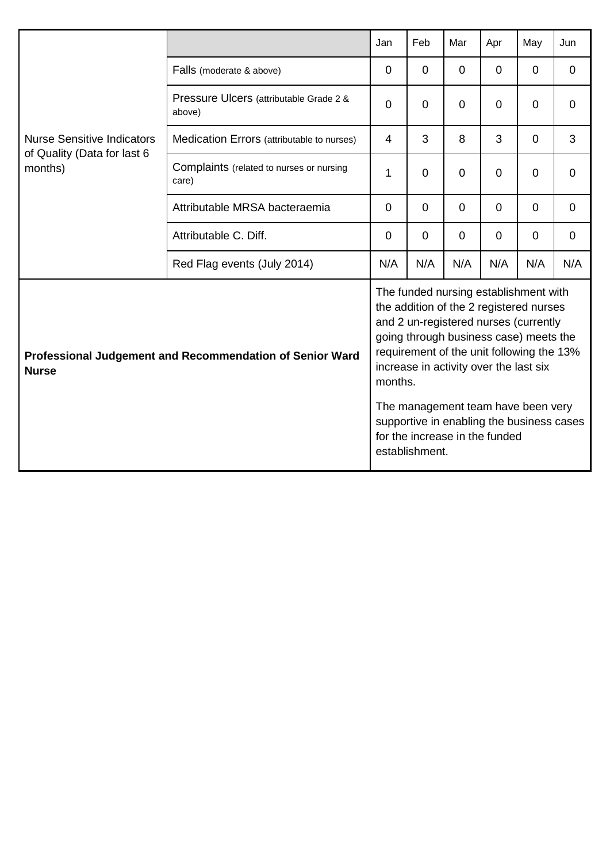|                                        |                                                          | Jan            | Feb            | Mar                                                                                                                                                                                                                                                                                                                                                                             | Apr      | May            | Jun         |
|----------------------------------------|----------------------------------------------------------|----------------|----------------|---------------------------------------------------------------------------------------------------------------------------------------------------------------------------------------------------------------------------------------------------------------------------------------------------------------------------------------------------------------------------------|----------|----------------|-------------|
|                                        | Falls (moderate & above)                                 | 0              | $\Omega$       | $\Omega$                                                                                                                                                                                                                                                                                                                                                                        | $\Omega$ | $\Omega$       | $\Omega$    |
|                                        | Pressure Ulcers (attributable Grade 2 &<br>above)        | $\Omega$       | 0              | $\Omega$                                                                                                                                                                                                                                                                                                                                                                        | $\Omega$ | $\overline{0}$ | $\Omega$    |
| <b>Nurse Sensitive Indicators</b>      | Medication Errors (attributable to nurses)               | 4              | 3              | 8                                                                                                                                                                                                                                                                                                                                                                               | 3        | 0              | 3           |
| of Quality (Data for last 6<br>months) | Complaints (related to nurses or nursing<br>care)        | 1              | 0              | $\Omega$                                                                                                                                                                                                                                                                                                                                                                        | $\Omega$ | $\Omega$       | $\Omega$    |
|                                        | Attributable MRSA bacteraemia                            | $\overline{0}$ | 0              | $\mathbf 0$                                                                                                                                                                                                                                                                                                                                                                     | $\Omega$ | 0              | $\mathbf 0$ |
|                                        | Attributable C. Diff.                                    | $\Omega$       | 0              | $\Omega$                                                                                                                                                                                                                                                                                                                                                                        | $\Omega$ | $\Omega$       | $\Omega$    |
|                                        | Red Flag events (July 2014)                              | N/A            | N/A            | N/A                                                                                                                                                                                                                                                                                                                                                                             | N/A      | N/A            | N/A         |
| <b>Nurse</b>                           | Professional Judgement and Recommendation of Senior Ward | months.        | establishment. | The funded nursing establishment with<br>the addition of the 2 registered nurses<br>and 2 un-registered nurses (currently<br>going through business case) meets the<br>requirement of the unit following the 13%<br>increase in activity over the last six<br>The management team have been very<br>supportive in enabling the business cases<br>for the increase in the funded |          |                |             |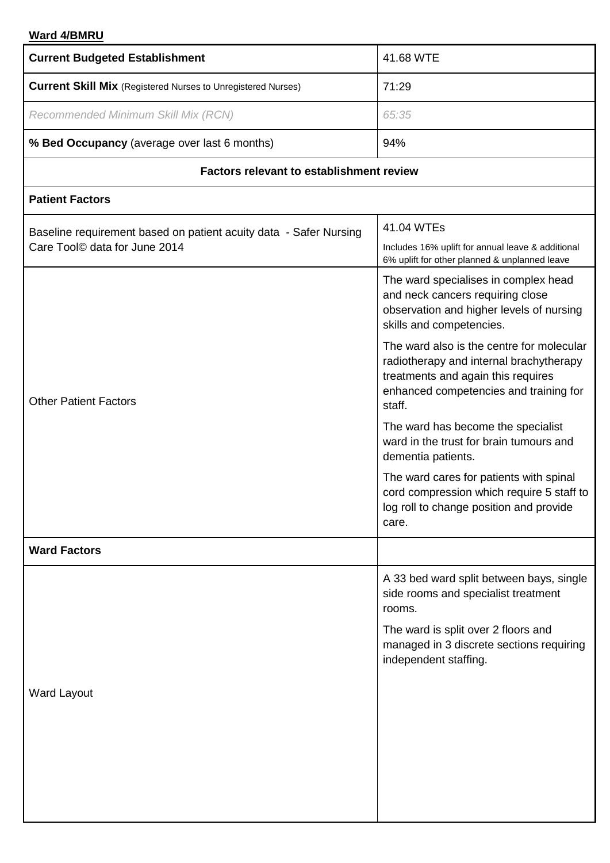# **Ward 4/BMRU**

| <b>Current Budgeted Establishment</b>                               | 41.68 WTE                                                                                                                                                                      |  |  |  |  |
|---------------------------------------------------------------------|--------------------------------------------------------------------------------------------------------------------------------------------------------------------------------|--|--|--|--|
| <b>Current Skill Mix</b> (Registered Nurses to Unregistered Nurses) | 71:29                                                                                                                                                                          |  |  |  |  |
| Recommended Minimum Skill Mix (RCN)                                 | 65:35                                                                                                                                                                          |  |  |  |  |
| % Bed Occupancy (average over last 6 months)                        | 94%                                                                                                                                                                            |  |  |  |  |
| <b>Factors relevant to establishment review</b>                     |                                                                                                                                                                                |  |  |  |  |
| <b>Patient Factors</b>                                              |                                                                                                                                                                                |  |  |  |  |
| Baseline requirement based on patient acuity data - Safer Nursing   | 41.04 WTEs                                                                                                                                                                     |  |  |  |  |
| Care Tool© data for June 2014                                       | Includes 16% uplift for annual leave & additional<br>6% uplift for other planned & unplanned leave                                                                             |  |  |  |  |
|                                                                     | The ward specialises in complex head<br>and neck cancers requiring close<br>observation and higher levels of nursing<br>skills and competencies.                               |  |  |  |  |
| <b>Other Patient Factors</b>                                        | The ward also is the centre for molecular<br>radiotherapy and internal brachytherapy<br>treatments and again this requires<br>enhanced competencies and training for<br>staff. |  |  |  |  |
|                                                                     | The ward has become the specialist<br>ward in the trust for brain tumours and<br>dementia patients.                                                                            |  |  |  |  |
|                                                                     | The ward cares for patients with spinal<br>cord compression which require 5 staff to<br>log roll to change position and provide<br>care.                                       |  |  |  |  |
| <b>Ward Factors</b>                                                 |                                                                                                                                                                                |  |  |  |  |
|                                                                     | A 33 bed ward split between bays, single<br>side rooms and specialist treatment<br>rooms.                                                                                      |  |  |  |  |
|                                                                     | The ward is split over 2 floors and<br>managed in 3 discrete sections requiring<br>independent staffing.                                                                       |  |  |  |  |
| Ward Layout                                                         |                                                                                                                                                                                |  |  |  |  |
|                                                                     |                                                                                                                                                                                |  |  |  |  |
|                                                                     |                                                                                                                                                                                |  |  |  |  |
|                                                                     |                                                                                                                                                                                |  |  |  |  |
|                                                                     |                                                                                                                                                                                |  |  |  |  |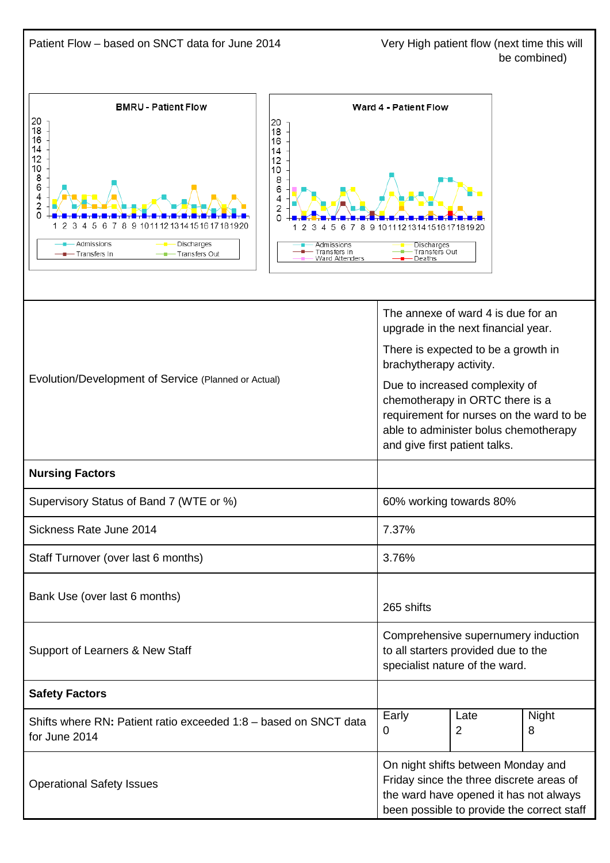Patient Flow – based on SNCT data for June 2014 Very High patient flow (next time this will be combined) **BMRU - Patient Flow** Ward 4 - Patient Flow 20  $\frac{20}{18}$  $\frac{20}{18}$ 16 14<br>12<br>10<br>8<br>6<br>4<br>2<br>0  $\frac{14}{12}$ <br> $\frac{12}{10}$  $\frac{1}{6}$  $\overline{4}$  $\overline{2}$  $\overline{0}$ 3 4 5 6 7 8 9 1011 12 13 14 15 16 17 18 19 20 1  $\mathcal{D}$  $\mathcal{D}$ 3 4 5 6 7 8 9 1011121314151617181920 -Admissions -- Discharges Admissions Discharge **Transfers Out** Transfers In - Transfers In Transfers Out Ward Attenders Deaths The annexe of ward 4 is due for an upgrade in the next financial year. There is expected to be a growth in brachytherapy activity. Evolution/Development of Service (Planned or Actual) Due to increased complexity of chemotherapy in ORTC there is a requirement for nurses on the ward to be able to administer bolus chemotherapy and give first patient talks. **Nursing Factors** Supervisory Status of Band 7 (WTE or %) 60% working towards 80% Sickness Rate June 2014 **7.37%** 7.37% Staff Turnover (over last 6 months) 3.76% Bank Use (over last 6 months) 265 shifts Comprehensive supernumery induction Support of Learners & New Staff to all starters provided due to the specialist nature of the ward. **Safety Factors** Early Late **Night** Shifts where RN**:** Patient ratio exceeded 1:8 – based on SNCT data 2  $\Omega$ 8 for June 2014 On night shifts between Monday and Friday since the three discrete areas of Operational Safety Issues the ward have opened it has not always been possible to provide the correct staff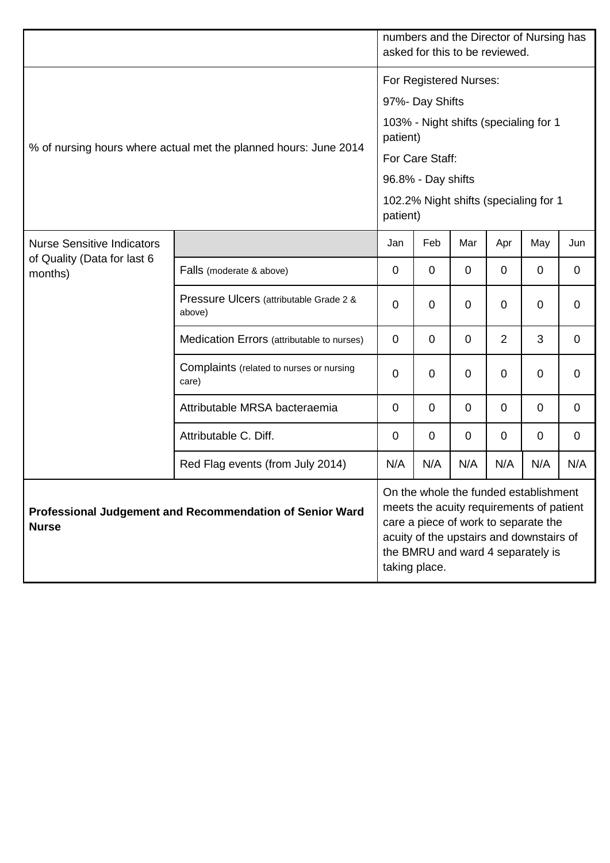|                                                                          |                                                   |                                                                                                                                                                                                                             |                                                   | numbers and the Director of Nursing has<br>asked for this to be reviewed. |                |                                       |     |  |
|--------------------------------------------------------------------------|---------------------------------------------------|-----------------------------------------------------------------------------------------------------------------------------------------------------------------------------------------------------------------------------|---------------------------------------------------|---------------------------------------------------------------------------|----------------|---------------------------------------|-----|--|
| % of nursing hours where actual met the planned hours: June 2014         |                                                   |                                                                                                                                                                                                                             | For Registered Nurses:<br>97%- Day Shifts         |                                                                           |                |                                       |     |  |
|                                                                          |                                                   |                                                                                                                                                                                                                             | patient)                                          |                                                                           |                | 103% - Night shifts (specialing for 1 |     |  |
|                                                                          |                                                   |                                                                                                                                                                                                                             | For Care Staff:                                   |                                                                           |                |                                       |     |  |
|                                                                          |                                                   |                                                                                                                                                                                                                             | 96.8% - Day shifts                                |                                                                           |                |                                       |     |  |
|                                                                          |                                                   |                                                                                                                                                                                                                             | 102.2% Night shifts (specialing for 1<br>patient) |                                                                           |                |                                       |     |  |
| <b>Nurse Sensitive Indicators</b><br>of Quality (Data for last 6         |                                                   | Jan                                                                                                                                                                                                                         | Feb                                               | Mar                                                                       | Apr            | May                                   | Jun |  |
| months)                                                                  | Falls (moderate & above)                          | $\mathbf 0$                                                                                                                                                                                                                 | 0                                                 | $\mathbf 0$                                                               | 0              | 0                                     | 0   |  |
|                                                                          | Pressure Ulcers (attributable Grade 2 &<br>above) | $\mathbf 0$                                                                                                                                                                                                                 | $\mathbf 0$                                       | 0                                                                         | 0              | $\mathbf 0$                           | 0   |  |
|                                                                          | Medication Errors (attributable to nurses)        | 0                                                                                                                                                                                                                           | 0                                                 | 0                                                                         | $\overline{2}$ | 3                                     | 0   |  |
|                                                                          | Complaints (related to nurses or nursing<br>care) | 0                                                                                                                                                                                                                           | $\overline{0}$                                    | $\mathbf 0$                                                               | 0              | $\mathbf 0$                           | 0   |  |
|                                                                          | Attributable MRSA bacteraemia                     | $\mathbf 0$                                                                                                                                                                                                                 | $\mathbf 0$                                       | 0                                                                         | 0              | 0                                     | 0   |  |
|                                                                          | Attributable C. Diff.                             | $\mathbf 0$                                                                                                                                                                                                                 | 0                                                 | 0                                                                         | 0              | 0                                     | 0   |  |
|                                                                          | Red Flag events (from July 2014)                  | N/A                                                                                                                                                                                                                         | N/A                                               | N/A                                                                       | N/A            | N/A                                   | N/A |  |
| Professional Judgement and Recommendation of Senior Ward<br><b>Nurse</b> |                                                   | On the whole the funded establishment<br>meets the acuity requirements of patient<br>care a piece of work to separate the<br>acuity of the upstairs and downstairs of<br>the BMRU and ward 4 separately is<br>taking place. |                                                   |                                                                           |                |                                       |     |  |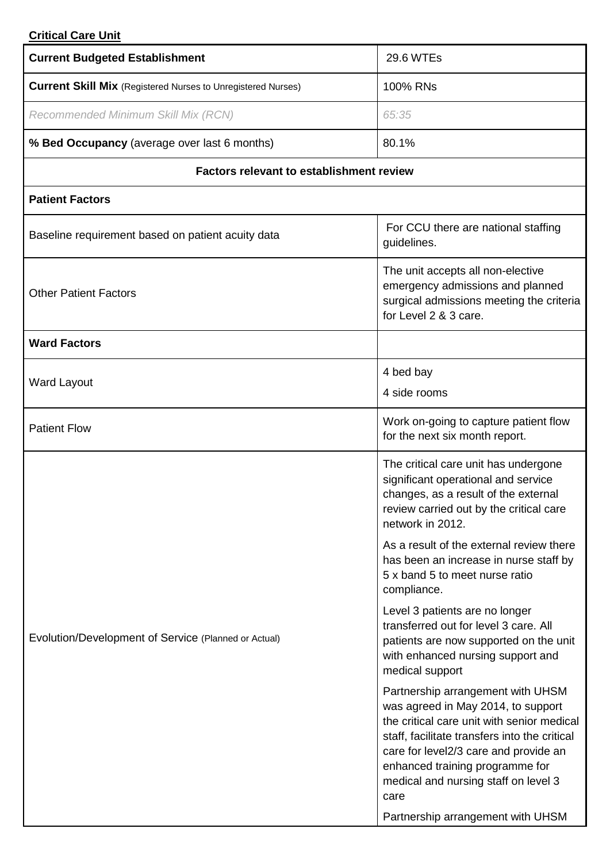# **Critical Care Unit**

| <b>Current Budgeted Establishment</b>                               | <b>29.6 WTEs</b>                                                                                                                                                                                                                                                                                                                        |  |  |  |  |
|---------------------------------------------------------------------|-----------------------------------------------------------------------------------------------------------------------------------------------------------------------------------------------------------------------------------------------------------------------------------------------------------------------------------------|--|--|--|--|
| <b>Current Skill Mix</b> (Registered Nurses to Unregistered Nurses) | 100% RNs                                                                                                                                                                                                                                                                                                                                |  |  |  |  |
| Recommended Minimum Skill Mix (RCN)                                 | 65:35                                                                                                                                                                                                                                                                                                                                   |  |  |  |  |
| % Bed Occupancy (average over last 6 months)                        | 80.1%                                                                                                                                                                                                                                                                                                                                   |  |  |  |  |
| <b>Factors relevant to establishment review</b>                     |                                                                                                                                                                                                                                                                                                                                         |  |  |  |  |
| <b>Patient Factors</b>                                              |                                                                                                                                                                                                                                                                                                                                         |  |  |  |  |
| Baseline requirement based on patient acuity data                   | For CCU there are national staffing<br>guidelines.                                                                                                                                                                                                                                                                                      |  |  |  |  |
| <b>Other Patient Factors</b>                                        | The unit accepts all non-elective<br>emergency admissions and planned<br>surgical admissions meeting the criteria<br>for Level 2 & 3 care.                                                                                                                                                                                              |  |  |  |  |
| <b>Ward Factors</b>                                                 |                                                                                                                                                                                                                                                                                                                                         |  |  |  |  |
| <b>Ward Layout</b>                                                  | 4 bed bay                                                                                                                                                                                                                                                                                                                               |  |  |  |  |
|                                                                     | 4 side rooms                                                                                                                                                                                                                                                                                                                            |  |  |  |  |
| <b>Patient Flow</b>                                                 | Work on-going to capture patient flow<br>for the next six month report.                                                                                                                                                                                                                                                                 |  |  |  |  |
|                                                                     | The critical care unit has undergone<br>significant operational and service<br>changes, as a result of the external<br>review carried out by the critical care<br>network in 2012.<br>As a result of the external review there                                                                                                          |  |  |  |  |
|                                                                     | has been an increase in nurse staff by<br>5 x band 5 to meet nurse ratio<br>compliance.                                                                                                                                                                                                                                                 |  |  |  |  |
| Evolution/Development of Service (Planned or Actual)                | Level 3 patients are no longer<br>transferred out for level 3 care. All<br>patients are now supported on the unit<br>with enhanced nursing support and<br>medical support                                                                                                                                                               |  |  |  |  |
|                                                                     | Partnership arrangement with UHSM<br>was agreed in May 2014, to support<br>the critical care unit with senior medical<br>staff, facilitate transfers into the critical<br>care for level2/3 care and provide an<br>enhanced training programme for<br>medical and nursing staff on level 3<br>care<br>Partnership arrangement with UHSM |  |  |  |  |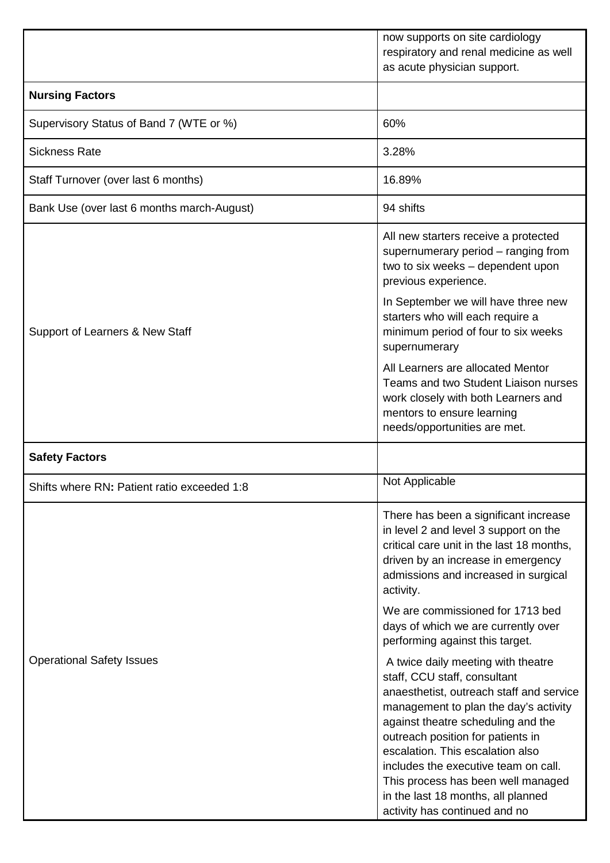|                                             | now supports on site cardiology<br>respiratory and renal medicine as well<br>as acute physician support.                                                                                                                                                                                                       |  |  |  |  |
|---------------------------------------------|----------------------------------------------------------------------------------------------------------------------------------------------------------------------------------------------------------------------------------------------------------------------------------------------------------------|--|--|--|--|
| <b>Nursing Factors</b>                      |                                                                                                                                                                                                                                                                                                                |  |  |  |  |
| Supervisory Status of Band 7 (WTE or %)     | 60%                                                                                                                                                                                                                                                                                                            |  |  |  |  |
| <b>Sickness Rate</b>                        | 3.28%                                                                                                                                                                                                                                                                                                          |  |  |  |  |
| Staff Turnover (over last 6 months)         | 16.89%                                                                                                                                                                                                                                                                                                         |  |  |  |  |
| Bank Use (over last 6 months march-August)  | 94 shifts                                                                                                                                                                                                                                                                                                      |  |  |  |  |
|                                             | All new starters receive a protected<br>supernumerary period - ranging from<br>two to six weeks - dependent upon<br>previous experience.                                                                                                                                                                       |  |  |  |  |
| Support of Learners & New Staff             | In September we will have three new<br>starters who will each require a<br>minimum period of four to six weeks<br>supernumerary                                                                                                                                                                                |  |  |  |  |
|                                             | All Learners are allocated Mentor<br>Teams and two Student Liaison nurses<br>work closely with both Learners and<br>mentors to ensure learning<br>needs/opportunities are met.                                                                                                                                 |  |  |  |  |
| <b>Safety Factors</b>                       |                                                                                                                                                                                                                                                                                                                |  |  |  |  |
| Shifts where RN: Patient ratio exceeded 1:8 | Not Applicable                                                                                                                                                                                                                                                                                                 |  |  |  |  |
|                                             | There has been a significant increase<br>in level 2 and level 3 support on the<br>critical care unit in the last 18 months,<br>driven by an increase in emergency<br>admissions and increased in surgical<br>activity.<br>We are commissioned for 1713 bed<br>days of which we are currently over              |  |  |  |  |
|                                             | performing against this target.                                                                                                                                                                                                                                                                                |  |  |  |  |
| <b>Operational Safety Issues</b>            | A twice daily meeting with theatre<br>staff, CCU staff, consultant<br>anaesthetist, outreach staff and service<br>management to plan the day's activity<br>against theatre scheduling and the<br>outreach position for patients in<br>escalation. This escalation also<br>includes the executive team on call. |  |  |  |  |
|                                             | This process has been well managed<br>in the last 18 months, all planned<br>activity has continued and no                                                                                                                                                                                                      |  |  |  |  |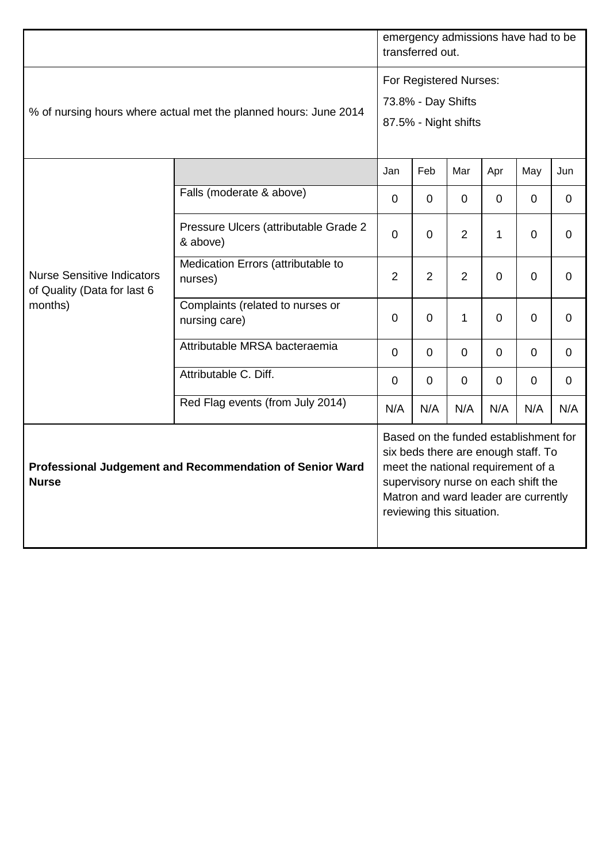|                                                                             |                                                   | emergency admissions have had to be<br>transferred out.              |                           |              |                                                                                                                                                                                                   |             |                |  |
|-----------------------------------------------------------------------------|---------------------------------------------------|----------------------------------------------------------------------|---------------------------|--------------|---------------------------------------------------------------------------------------------------------------------------------------------------------------------------------------------------|-------------|----------------|--|
| % of nursing hours where actual met the planned hours: June 2014            |                                                   | For Registered Nurses:<br>73.8% - Day Shifts<br>87.5% - Night shifts |                           |              |                                                                                                                                                                                                   |             |                |  |
|                                                                             |                                                   | Jan                                                                  | Feb                       | Mar          | Apr                                                                                                                                                                                               | May         | Jun            |  |
|                                                                             | Falls (moderate & above)                          | $\mathbf 0$                                                          | 0                         | $\mathbf 0$  | $\Omega$                                                                                                                                                                                          | $\mathbf 0$ | $\mathbf 0$    |  |
|                                                                             | Pressure Ulcers (attributable Grade 2<br>& above) | $\overline{0}$                                                       | $\mathbf 0$               | 2            | $\mathbf{1}$                                                                                                                                                                                      | $\mathbf 0$ | $\mathbf 0$    |  |
| <b>Nurse Sensitive Indicators</b><br>of Quality (Data for last 6<br>months) | Medication Errors (attributable to<br>nurses)     | $\overline{2}$                                                       | $\overline{2}$            | 2            | $\overline{0}$                                                                                                                                                                                    | $\mathbf 0$ | $\mathbf 0$    |  |
|                                                                             | Complaints (related to nurses or<br>nursing care) | $\mathbf{0}$                                                         | $\mathbf 0$               | $\mathbf{1}$ | $\overline{0}$                                                                                                                                                                                    | $\mathbf 0$ | $\mathbf 0$    |  |
|                                                                             | Attributable MRSA bacteraemia                     | $\mathbf 0$                                                          | $\mathbf 0$               | $\mathbf 0$  | $\Omega$                                                                                                                                                                                          | $\mathbf 0$ | $\mathbf 0$    |  |
|                                                                             | Attributable C. Diff.                             | $\overline{0}$                                                       | $\mathbf 0$               | $\mathbf 0$  | $\mathbf 0$                                                                                                                                                                                       | $\Omega$    | $\overline{0}$ |  |
|                                                                             | Red Flag events (from July 2014)                  | N/A                                                                  | N/A                       | N/A          | N/A                                                                                                                                                                                               | N/A         | N/A            |  |
| Professional Judgement and Recommendation of Senior Ward<br><b>Nurse</b>    |                                                   |                                                                      | reviewing this situation. |              | Based on the funded establishment for<br>six beds there are enough staff. To<br>meet the national requirement of a<br>supervisory nurse on each shift the<br>Matron and ward leader are currently |             |                |  |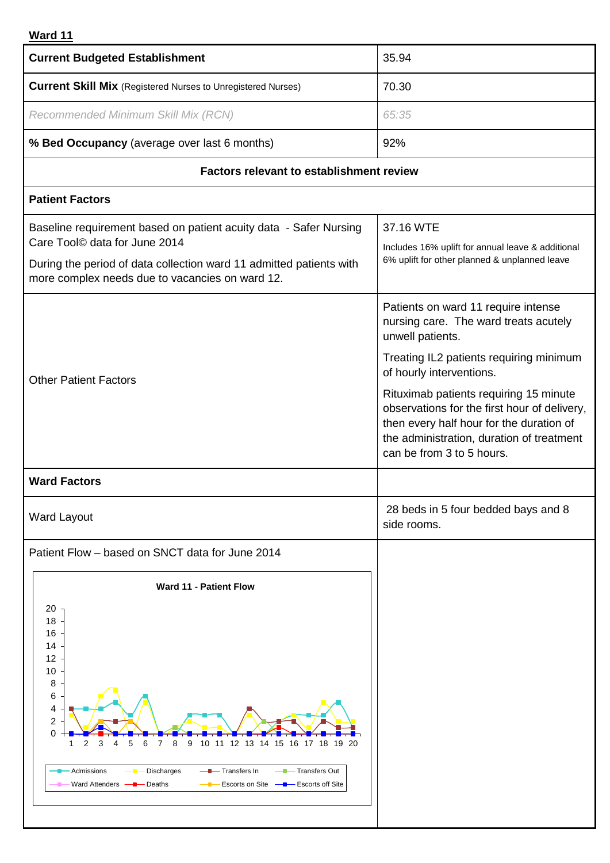# **Ward 11**

| <b>Current Budgeted Establishment</b>                                                                                                                                                                                                                                                                                                                  | 35.94                                                                                                                                                                                                                                                                                                                                                                                   |
|--------------------------------------------------------------------------------------------------------------------------------------------------------------------------------------------------------------------------------------------------------------------------------------------------------------------------------------------------------|-----------------------------------------------------------------------------------------------------------------------------------------------------------------------------------------------------------------------------------------------------------------------------------------------------------------------------------------------------------------------------------------|
| <b>Current Skill Mix</b> (Registered Nurses to Unregistered Nurses)                                                                                                                                                                                                                                                                                    | 70.30                                                                                                                                                                                                                                                                                                                                                                                   |
| Recommended Minimum Skill Mix (RCN)                                                                                                                                                                                                                                                                                                                    | 65:35                                                                                                                                                                                                                                                                                                                                                                                   |
| % Bed Occupancy (average over last 6 months)                                                                                                                                                                                                                                                                                                           | 92%                                                                                                                                                                                                                                                                                                                                                                                     |
| <b>Factors relevant to establishment review</b>                                                                                                                                                                                                                                                                                                        |                                                                                                                                                                                                                                                                                                                                                                                         |
| <b>Patient Factors</b>                                                                                                                                                                                                                                                                                                                                 |                                                                                                                                                                                                                                                                                                                                                                                         |
| Baseline requirement based on patient acuity data - Safer Nursing<br>Care Tool© data for June 2014<br>During the period of data collection ward 11 admitted patients with<br>more complex needs due to vacancies on ward 12.                                                                                                                           | 37.16 WTE<br>Includes 16% uplift for annual leave & additional<br>6% uplift for other planned & unplanned leave                                                                                                                                                                                                                                                                         |
| <b>Other Patient Factors</b>                                                                                                                                                                                                                                                                                                                           | Patients on ward 11 require intense<br>nursing care. The ward treats acutely<br>unwell patients.<br>Treating IL2 patients requiring minimum<br>of hourly interventions.<br>Rituximab patients requiring 15 minute<br>observations for the first hour of delivery,<br>then every half hour for the duration of<br>the administration, duration of treatment<br>can be from 3 to 5 hours. |
| <b>Ward Factors</b>                                                                                                                                                                                                                                                                                                                                    |                                                                                                                                                                                                                                                                                                                                                                                         |
| <b>Ward Layout</b>                                                                                                                                                                                                                                                                                                                                     | 28 beds in 5 four bedded bays and 8<br>side rooms.                                                                                                                                                                                                                                                                                                                                      |
| Patient Flow - based on SNCT data for June 2014<br>Ward 11 - Patient Flow<br>20<br>18<br>16<br>14<br>12<br>10<br>8<br>6<br>4<br>2<br>0<br>3<br>5<br>9<br>10 11 12 13 14 15 16 17 18 19 20<br>2<br>6<br>8<br>- Transfers In<br>-Transfers Out<br>Admissions<br><b>Discharges</b><br>Ward Attenders -<br>Escorts on Site — Bescorts off Site<br>- Deaths |                                                                                                                                                                                                                                                                                                                                                                                         |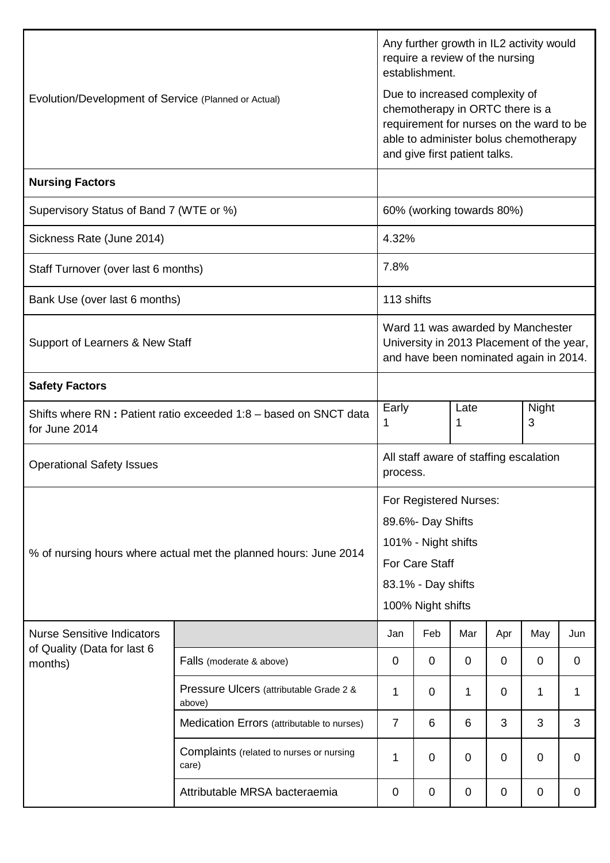|                                                                                   | Any further growth in IL2 activity would<br>require a review of the nursing<br>establishment. |                                                                                                                                 |                                                                                                                                                                                         |             |             |             |     |  |  |
|-----------------------------------------------------------------------------------|-----------------------------------------------------------------------------------------------|---------------------------------------------------------------------------------------------------------------------------------|-----------------------------------------------------------------------------------------------------------------------------------------------------------------------------------------|-------------|-------------|-------------|-----|--|--|
| Evolution/Development of Service (Planned or Actual)                              |                                                                                               |                                                                                                                                 | Due to increased complexity of<br>chemotherapy in ORTC there is a<br>requirement for nurses on the ward to be<br>able to administer bolus chemotherapy<br>and give first patient talks. |             |             |             |     |  |  |
| <b>Nursing Factors</b>                                                            |                                                                                               |                                                                                                                                 |                                                                                                                                                                                         |             |             |             |     |  |  |
| Supervisory Status of Band 7 (WTE or %)                                           |                                                                                               | 60% (working towards 80%)                                                                                                       |                                                                                                                                                                                         |             |             |             |     |  |  |
| Sickness Rate (June 2014)                                                         |                                                                                               | 4.32%                                                                                                                           |                                                                                                                                                                                         |             |             |             |     |  |  |
| Staff Turnover (over last 6 months)                                               |                                                                                               | 7.8%                                                                                                                            |                                                                                                                                                                                         |             |             |             |     |  |  |
| Bank Use (over last 6 months)                                                     |                                                                                               | 113 shifts                                                                                                                      |                                                                                                                                                                                         |             |             |             |     |  |  |
| Support of Learners & New Staff                                                   |                                                                                               |                                                                                                                                 | Ward 11 was awarded by Manchester<br>University in 2013 Placement of the year,<br>and have been nominated again in 2014.                                                                |             |             |             |     |  |  |
| <b>Safety Factors</b>                                                             |                                                                                               |                                                                                                                                 |                                                                                                                                                                                         |             |             |             |     |  |  |
| Shifts where RN: Patient ratio exceeded 1:8 - based on SNCT data<br>for June 2014 |                                                                                               | Early<br>1                                                                                                                      | Night<br>Late<br>3<br>1                                                                                                                                                                 |             |             |             |     |  |  |
| <b>Operational Safety Issues</b>                                                  |                                                                                               |                                                                                                                                 | All staff aware of staffing escalation<br>process.                                                                                                                                      |             |             |             |     |  |  |
| % of nursing hours where actual met the planned hours: June 2014                  |                                                                                               | For Registered Nurses:<br>89.6%- Day Shifts<br>101% - Night shifts<br>For Care Staff<br>83.1% - Day shifts<br>100% Night shifts |                                                                                                                                                                                         |             |             |             |     |  |  |
| <b>Nurse Sensitive Indicators</b><br>of Quality (Data for last 6                  |                                                                                               | Jan                                                                                                                             | Feb                                                                                                                                                                                     | Mar         | Apr         | May         | Jun |  |  |
| months)                                                                           | Falls (moderate & above)                                                                      | $\mathbf 0$                                                                                                                     | $\mathbf 0$                                                                                                                                                                             | $\mathbf 0$ | 0           | $\mathbf 0$ | 0   |  |  |
|                                                                                   | Pressure Ulcers (attributable Grade 2 &<br>above)                                             | 1                                                                                                                               | 0                                                                                                                                                                                       | 1           | $\mathbf 0$ | 1           | 1   |  |  |
|                                                                                   | Medication Errors (attributable to nurses)                                                    | $\overline{7}$                                                                                                                  | 6                                                                                                                                                                                       | 6           | 3           | 3           | 3   |  |  |
|                                                                                   | Complaints (related to nurses or nursing<br>care)                                             | 1                                                                                                                               | 0                                                                                                                                                                                       | 0           | 0           | $\mathbf 0$ | 0   |  |  |
|                                                                                   | 0                                                                                             | 0                                                                                                                               | $\mathbf 0$                                                                                                                                                                             | 0           | 0           | 0           |     |  |  |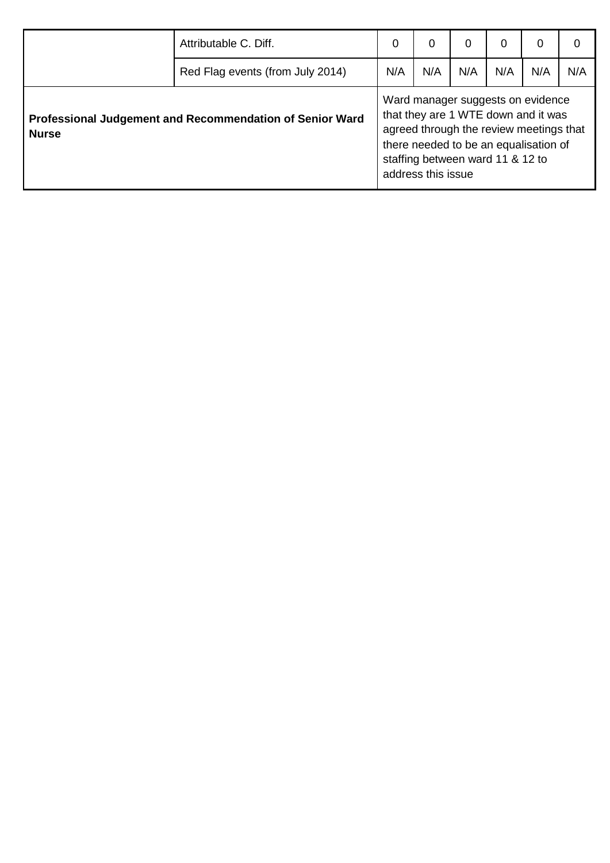|                                                                          | Attributable C. Diff.            | 0   | $\Omega$                                               | 0   | 0   | 0                                                                                                                                                            | 0   |
|--------------------------------------------------------------------------|----------------------------------|-----|--------------------------------------------------------|-----|-----|--------------------------------------------------------------------------------------------------------------------------------------------------------------|-----|
|                                                                          | Red Flag events (from July 2014) | N/A | N/A                                                    | N/A | N/A | N/A                                                                                                                                                          | N/A |
| Professional Judgement and Recommendation of Senior Ward<br><b>Nurse</b> |                                  |     | staffing between ward 11 & 12 to<br>address this issue |     |     | Ward manager suggests on evidence<br>that they are 1 WTE down and it was<br>agreed through the review meetings that<br>there needed to be an equalisation of |     |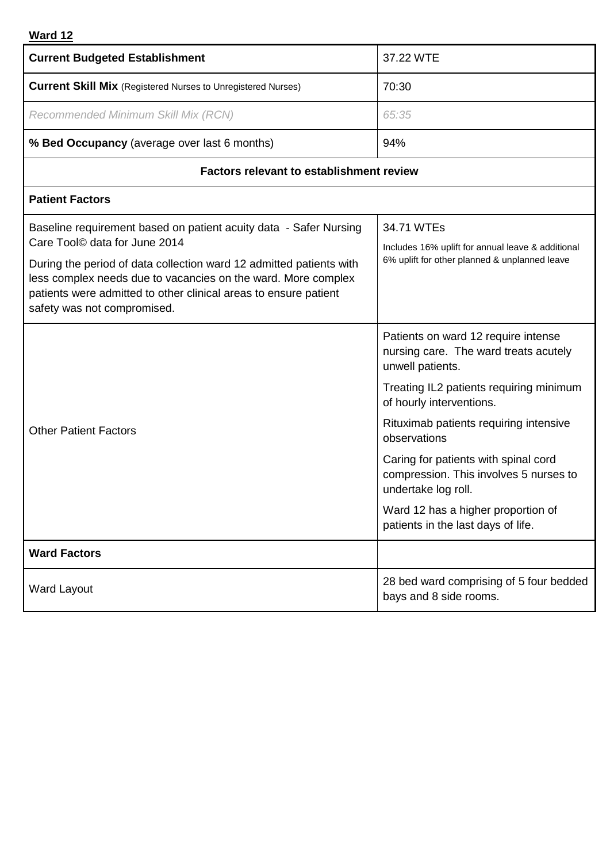# **Ward 12**

| <b>Current Budgeted Establishment</b>                                                                | 37.22 WTE                                                                                             |  |  |  |
|------------------------------------------------------------------------------------------------------|-------------------------------------------------------------------------------------------------------|--|--|--|
| <b>Current Skill Mix</b> (Registered Nurses to Unregistered Nurses)                                  | 70:30                                                                                                 |  |  |  |
| Recommended Minimum Skill Mix (RCN)                                                                  | 65:35                                                                                                 |  |  |  |
| % Bed Occupancy (average over last 6 months)                                                         | 94%                                                                                                   |  |  |  |
| <b>Factors relevant to establishment review</b>                                                      |                                                                                                       |  |  |  |
| <b>Patient Factors</b>                                                                               |                                                                                                       |  |  |  |
| Baseline requirement based on patient acuity data - Safer Nursing                                    | 34.71 WTEs                                                                                            |  |  |  |
| Care Tool© data for June 2014<br>During the period of data collection ward 12 admitted patients with | Includes 16% uplift for annual leave & additional<br>6% uplift for other planned & unplanned leave    |  |  |  |
| less complex needs due to vacancies on the ward. More complex                                        |                                                                                                       |  |  |  |
| patients were admitted to other clinical areas to ensure patient<br>safety was not compromised.      |                                                                                                       |  |  |  |
|                                                                                                      | Patients on ward 12 require intense                                                                   |  |  |  |
|                                                                                                      | nursing care. The ward treats acutely<br>unwell patients.                                             |  |  |  |
|                                                                                                      | Treating IL2 patients requiring minimum<br>of hourly interventions.                                   |  |  |  |
| <b>Other Patient Factors</b>                                                                         | Rituximab patients requiring intensive<br>observations                                                |  |  |  |
|                                                                                                      | Caring for patients with spinal cord<br>compression. This involves 5 nurses to<br>undertake log roll. |  |  |  |
|                                                                                                      | Ward 12 has a higher proportion of<br>patients in the last days of life.                              |  |  |  |
| <b>Ward Factors</b>                                                                                  |                                                                                                       |  |  |  |
| <b>Ward Layout</b>                                                                                   | 28 bed ward comprising of 5 four bedded<br>bays and 8 side rooms.                                     |  |  |  |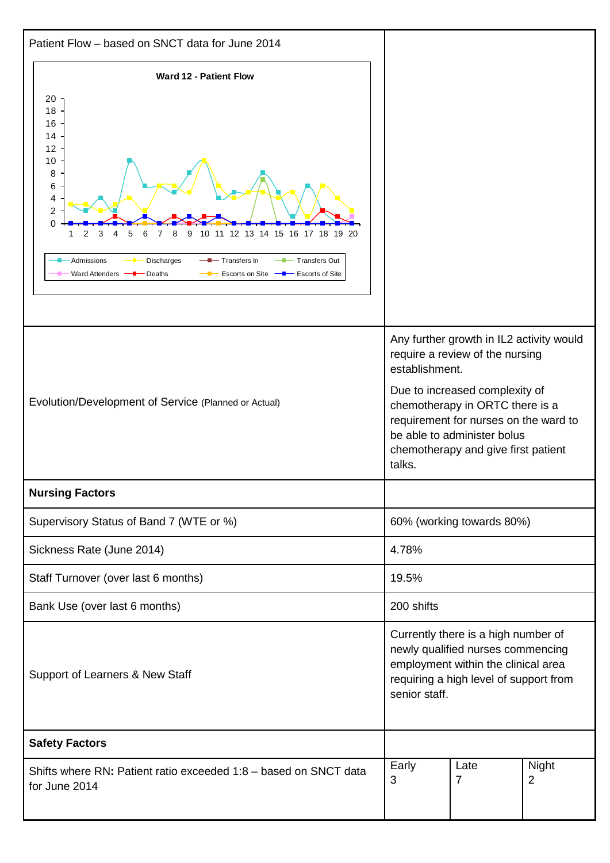| Patient Flow - based on SNCT data for June 2014                                                                                                                                                                                                                                      |                                                                                                                                                                                                                                                                                             |                           |  |  |  |
|--------------------------------------------------------------------------------------------------------------------------------------------------------------------------------------------------------------------------------------------------------------------------------------|---------------------------------------------------------------------------------------------------------------------------------------------------------------------------------------------------------------------------------------------------------------------------------------------|---------------------------|--|--|--|
| Ward 12 - Patient Flow<br>20<br>18<br>16<br>14<br>12<br>10<br>8<br>6<br>4<br>$\overline{2}$<br>$\Omega$<br>11 12 13 14 15 16 17 18 19 20<br>9<br>10.<br>- Transfers Out<br>Admissions<br>Transfers In<br>Discharges<br>Ward Attenders<br>Escorts on Site - Escorts of Site<br>Deaths |                                                                                                                                                                                                                                                                                             |                           |  |  |  |
| Evolution/Development of Service (Planned or Actual)                                                                                                                                                                                                                                 | Any further growth in IL2 activity would<br>require a review of the nursing<br>establishment.<br>Due to increased complexity of<br>chemotherapy in ORTC there is a<br>requirement for nurses on the ward to<br>be able to administer bolus<br>chemotherapy and give first patient<br>talks. |                           |  |  |  |
| <b>Nursing Factors</b>                                                                                                                                                                                                                                                               |                                                                                                                                                                                                                                                                                             |                           |  |  |  |
| Supervisory Status of Band 7 (WTE or %)                                                                                                                                                                                                                                              |                                                                                                                                                                                                                                                                                             | 60% (working towards 80%) |  |  |  |
| Sickness Rate (June 2014)                                                                                                                                                                                                                                                            | 4.78%                                                                                                                                                                                                                                                                                       |                           |  |  |  |
| Staff Turnover (over last 6 months)                                                                                                                                                                                                                                                  | 19.5%                                                                                                                                                                                                                                                                                       |                           |  |  |  |
| Bank Use (over last 6 months)                                                                                                                                                                                                                                                        | 200 shifts                                                                                                                                                                                                                                                                                  |                           |  |  |  |
| Support of Learners & New Staff                                                                                                                                                                                                                                                      | Currently there is a high number of<br>newly qualified nurses commencing<br>employment within the clinical area<br>requiring a high level of support from<br>senior staff.                                                                                                                  |                           |  |  |  |
| <b>Safety Factors</b>                                                                                                                                                                                                                                                                |                                                                                                                                                                                                                                                                                             |                           |  |  |  |
| Early<br>Night<br>Late<br>Shifts where RN: Patient ratio exceeded 1:8 - based on SNCT data<br>$\overline{2}$<br>3<br>7<br>for June 2014                                                                                                                                              |                                                                                                                                                                                                                                                                                             |                           |  |  |  |